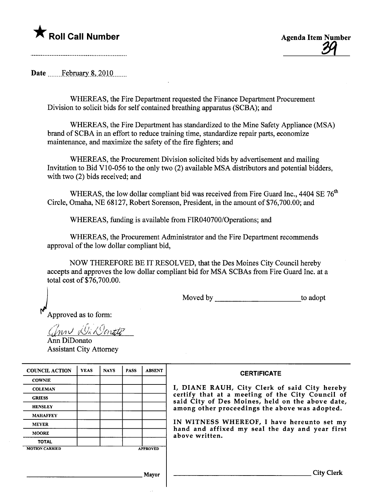## $\bigstar$  Roll Call Number  $\bigstar$  Agenda Item Number

<u>সে</u>

Date ......\_\_r-~hr-n-ar\_~,\_2Q.HL......

WHEREAS, the Fire Department requested the Finance Department Procurement Division to solicit bids for self contained breathing apparatus (SCBA); and

WHEREAS, the Fire Deparment has standardized to the Mine Safety Appliance (MSA) brand of SCBA in an effort to reduce training time, standardize repair pars, economize maintenance, and maximize the safety of the fire fighters; and

WHEREAS, the Procurement Division solicited bids by advertisement and mailng Invitation to Bid V10-056 to the only two (2) available MSA distributors and potential bidders, with two (2) bids received; and

WHERAS, the low dollar compliant bid was received from Fire Guard Inc., 4404 SE 76<sup>th</sup> Circle, Omaha, NE 68127, Robert Sorenson, President, in the amount of \$76,700.00; and

WHEREAS, funding is available from FIR040700/Operations; and

WHEREAS, the Procurement Administrator and the Fire Department recommends approval of the low dollar compliant bid,

NOW THEREFORE BE IT RESOLVED, that the Des Moines City Council hereby accepts and approves the low dollar compliant bid for MSA SCBAs from Fire Guard Inc. at a total cost of \$76,700.00.

Moved by to adopt

) Approved as to form:

 $q\rightarrow \hat{m}$  , (<u>jnn RSL Onti</u> Ann DiDonato

Assistant City Attorney

| <b>COUNCIL ACTION</b> | <b>YEAS</b> | <b>NAYS</b> | <b>PASS</b> | <b>ABSENT</b>   | <b>CERTIFICATE</b>                                                                                   |
|-----------------------|-------------|-------------|-------------|-----------------|------------------------------------------------------------------------------------------------------|
| <b>COWNIE</b>         |             |             |             |                 |                                                                                                      |
| <b>COLEMAN</b>        |             |             |             |                 | I, DIANE RAUH, City Clerk of said City hereby                                                        |
| <b>GRIESS</b>         |             |             |             |                 | certify that at a meeting of the City Council of<br>said City of Des Moines, held on the above date, |
| <b>HENSLEY</b>        |             |             |             |                 | among other proceedings the above was adopted.                                                       |
| <b>MAHAFFEY</b>       |             |             |             |                 |                                                                                                      |
| <b>MEYER</b>          |             |             |             |                 | IN WITNESS WHEREOF, I have hereunto set my                                                           |
| <b>MOORE</b>          |             |             |             |                 | hand and affixed my seal the day and year first<br>above written.                                    |
| <b>TOTAL</b>          |             |             |             |                 |                                                                                                      |
| <b>MOTION CARRIED</b> |             |             |             | <b>APPROVED</b> |                                                                                                      |
|                       |             |             |             |                 |                                                                                                      |
|                       |             |             |             |                 |                                                                                                      |
|                       |             |             |             | Mayor           | <b>City</b>                                                                                          |